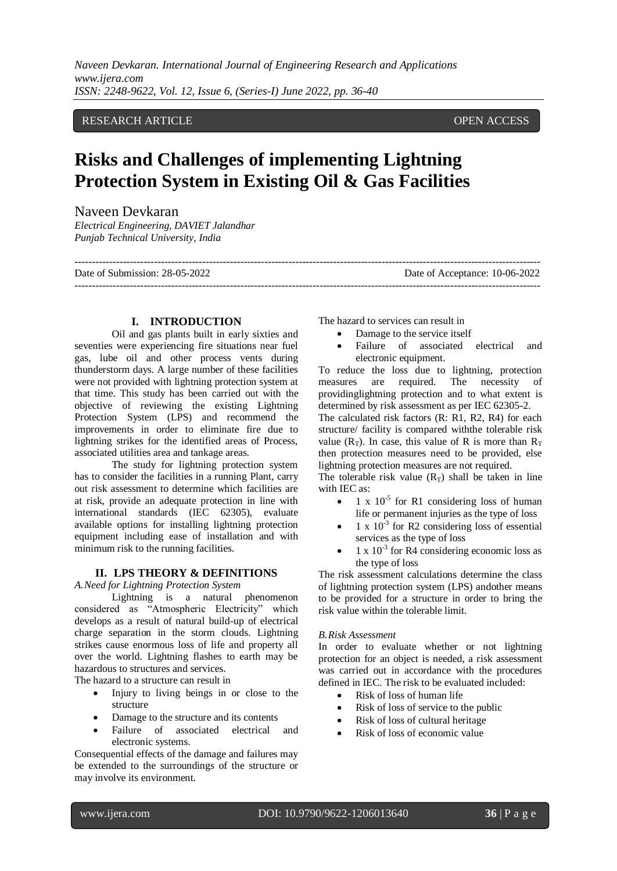# RESEARCH ARTICLE OPEN ACCESS

# **Risks and Challenges of implementing Lightning Protection System in Existing Oil & Gas Facilities**

## Naveen Devkaran

*Electrical Engineering, DAVIET Jalandhar Punjab Technical University, India*

--------------------------------------------------------------------------------------------------------------------------------------- Date of Submission: 28-05-2022 Date of Acceptance: 10-06-2022

#### **I. INTRODUCTION**

Oil and gas plants built in early sixties and seventies were experiencing fire situations near fuel gas, lube oil and other process vents during thunderstorm days. A large number of these facilities were not provided with lightning protection system at that time. This study has been carried out with the objective of reviewing the existing Lightning Protection System (LPS) and recommend the improvements in order to eliminate fire due to lightning strikes for the identified areas of Process, associated utilities area and tankage areas.

The study for lightning protection system has to consider the facilities in a running Plant, carry out risk assessment to determine which facilities are at risk, provide an adequate protection in line with international standards (IEC 62305), evaluate available options for installing lightning protection equipment including ease of installation and with minimum risk to the running facilities.

#### **II. LPS THEORY & DEFINITIONS**

*A.Need for Lightning Protection System*

Lightning is a natural phenomenon considered as "Atmospheric Electricity" which develops as a result of natural build-up of electrical charge separation in the storm clouds. Lightning strikes cause enormous loss of life and property all over the world. Lightning flashes to earth may be hazardous to structures and services.

The hazard to a structure can result in

- Injury to living beings in or close to the structure
- Damage to the structure and its contents
- Failure of associated electrical and electronic systems.

Consequential effects of the damage and failures may be extended to the surroundings of the structure or may involve its environment.

The hazard to services can result in

---------------------------------------------------------------------------------------------------------------------------------------

- Damage to the service itself
- Failure of associated electrical and electronic equipment.

To reduce the loss due to lightning, protection measures are required. The necessity of providinglightning protection and to what extent is determined by risk assessment as per IEC 62305-2.

The calculated risk factors (R: R1, R2, R4) for each structure/ facility is compared withthe tolerable risk value ( $R_T$ ). In case, this value of R is more than  $R_T$ then protection measures need to be provided, else lightning protection measures are not required.

The tolerable risk value  $(R_T)$  shall be taken in line with IEC as:

- $\bullet$  1 x 10<sup>-5</sup> for R1 considering loss of human life or permanent injuries as the type of loss
- $\bullet$  1 x 10<sup>-3</sup> for R2 considering loss of essential services as the type of loss
- $\bullet$  1 x 10<sup>-3</sup> for R4 considering economic loss as the type of loss

The risk assessment calculations determine the class of lightning protection system (LPS) andother means to be provided for a structure in order to bring the risk value within the tolerable limit.

#### *B.Risk Assessment*

In order to evaluate whether or not lightning protection for an object is needed, a risk assessment was carried out in accordance with the procedures defined in IEC. The risk to be evaluated included:

- Risk of loss of human life
- Risk of loss of service to the public
- Risk of loss of cultural heritage
- Risk of loss of economic value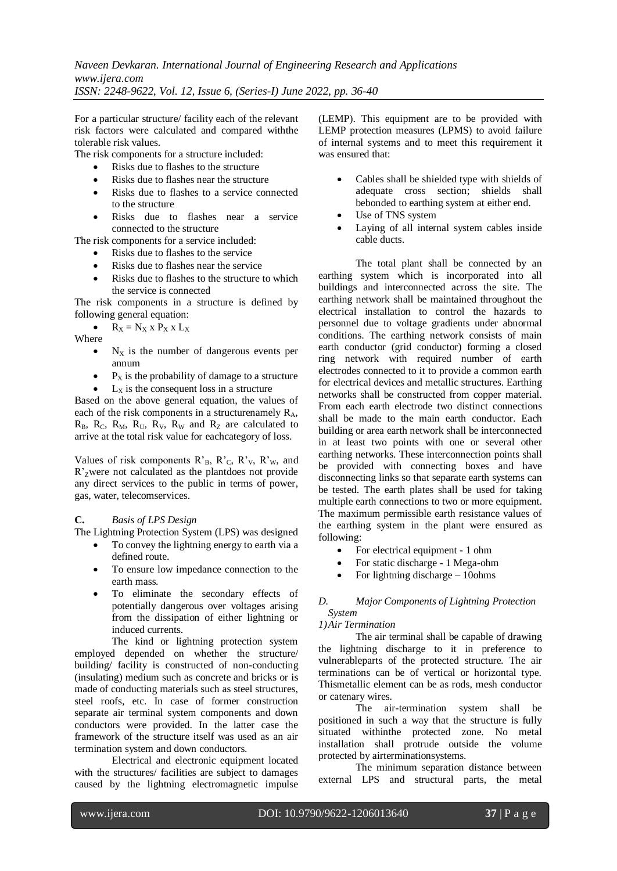For a particular structure/ facility each of the relevant risk factors were calculated and compared withthe tolerable risk values.

The risk components for a structure included:

- Risks due to flashes to the structure
- Risks due to flashes near the structure
- Risks due to flashes to a service connected to the structure
- Risks due to flashes near a service connected to the structure

The risk components for a service included:

- Risks due to flashes to the service
- Risks due to flashes near the service
- Risks due to flashes to the structure to which the service is connected

The risk components in a structure is defined by following general equation:

 $R_X = N_X$  x  $P_X$  x  $L_X$ Where

- $\bullet$  N<sub>X</sub> is the number of dangerous events per annum
- $\bullet$   $\mathbf{P}_X$  is the probability of damage to a structure
- $\bullet$  L<sub>x</sub> is the consequent loss in a structure

Based on the above general equation, the values of each of the risk components in a structurenamely  $R_A$ ,  $R_B$ ,  $R_C$ ,  $R_M$ ,  $R_U$ ,  $R_V$ ,  $R_W$  and  $R_Z$  are calculated to arrive at the total risk value for eachcategory of loss.

Values of risk components  $R_B$ ,  $R_C$ ,  $R_V$ ,  $R_W$ , and R'Zwere not calculated as the plantdoes not provide any direct services to the public in terms of power, gas, water, telecomservices.

### **C.** *Basis of LPS Design*

The Lightning Protection System (LPS) was designed

- To convey the lightning energy to earth via a defined route.
- To ensure low impedance connection to the earth mass.
- To eliminate the secondary effects of potentially dangerous over voltages arising from the dissipation of either lightning or induced currents.

The kind or lightning protection system employed depended on whether the structure/ building/ facility is constructed of non-conducting (insulating) medium such as concrete and bricks or is made of conducting materials such as steel structures, steel roofs, etc. In case of former construction separate air terminal system components and down conductors were provided. In the latter case the framework of the structure itself was used as an air termination system and down conductors.

Electrical and electronic equipment located with the structures/ facilities are subject to damages caused by the lightning electromagnetic impulse

(LEMP). This equipment are to be provided with LEMP protection measures (LPMS) to avoid failure of internal systems and to meet this requirement it was ensured that:

- Cables shall be shielded type with shields of adequate cross section; shields shall bebonded to earthing system at either end.
- Use of TNS system
- Laying of all internal system cables inside cable ducts.

The total plant shall be connected by an earthing system which is incorporated into all buildings and interconnected across the site. The earthing network shall be maintained throughout the electrical installation to control the hazards to personnel due to voltage gradients under abnormal conditions. The earthing network consists of main earth conductor (grid conductor) forming a closed ring network with required number of earth electrodes connected to it to provide a common earth for electrical devices and metallic structures. Earthing networks shall be constructed from copper material. From each earth electrode two distinct connections shall be made to the main earth conductor. Each building or area earth network shall be interconnected in at least two points with one or several other earthing networks. These interconnection points shall be provided with connecting boxes and have disconnecting links so that separate earth systems can be tested. The earth plates shall be used for taking multiple earth connections to two or more equipment. The maximum permissible earth resistance values of the earthing system in the plant were ensured as following:

- For electrical equipment 1 ohm
- For static discharge 1 Mega-ohm
- For lightning discharge 10ohms

#### *D. Major Components of Lightning Protection System*

#### *1)Air Termination*

The air terminal shall be capable of drawing the lightning discharge to it in preference to vulnerableparts of the protected structure. The air terminations can be of vertical or horizontal type. Thismetallic element can be as rods, mesh conductor or catenary wires.

The air-termination system shall be positioned in such a way that the structure is fully situated withinthe protected zone. No metal installation shall protrude outside the volume protected by airterminationsystems.

The minimum separation distance between external LPS and structural parts, the metal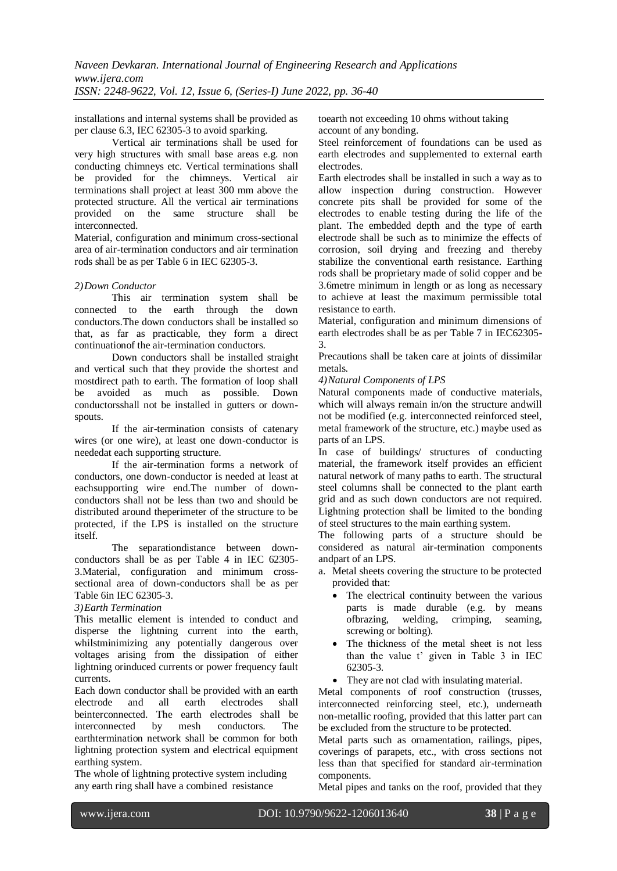installations and internal systems shall be provided as per clause 6.3, IEC 62305-3 to avoid sparking.

Vertical air terminations shall be used for very high structures with small base areas e.g. non conducting chimneys etc. Vertical terminations shall be provided for the chimneys. Vertical air terminations shall project at least 300 mm above the protected structure. All the vertical air terminations provided on the same structure shall be interconnected.

Material, configuration and minimum cross-sectional area of air-termination conductors and air termination rods shall be as per Table 6 in IEC 62305-3.

#### *2)Down Conductor*

This air termination system shall be connected to the earth through the down conductors.The down conductors shall be installed so that, as far as practicable, they form a direct continuationof the air-termination conductors.

Down conductors shall be installed straight and vertical such that they provide the shortest and mostdirect path to earth. The formation of loop shall be avoided as much as possible. Down conductorsshall not be installed in gutters or downspouts.

If the air-termination consists of catenary wires (or one wire), at least one down-conductor is neededat each supporting structure.

If the air-termination forms a network of conductors, one down-conductor is needed at least at eachsupporting wire end.The number of downconductors shall not be less than two and should be distributed around theperimeter of the structure to be protected, if the LPS is installed on the structure itself.

The separationdistance between downconductors shall be as per Table 4 in IEC 62305- 3.Material, configuration and minimum crosssectional area of down-conductors shall be as per Table 6in IEC 62305-3.

#### *3)Earth Termination*

This metallic element is intended to conduct and disperse the lightning current into the earth, whilstminimizing any potentially dangerous over voltages arising from the dissipation of either lightning orinduced currents or power frequency fault currents.

Each down conductor shall be provided with an earth electrode and all earth electrodes shall beinterconnected. The earth electrodes shall be interconnected by mesh conductors. The earthtermination network shall be common for both lightning protection system and electrical equipment earthing system.

The whole of lightning protective system including any earth ring shall have a combined resistance

toearth not exceeding 10 ohms without taking account of any bonding.

Steel reinforcement of foundations can be used as earth electrodes and supplemented to external earth electrodes.

Earth electrodes shall be installed in such a way as to allow inspection during construction. However concrete pits shall be provided for some of the electrodes to enable testing during the life of the plant. The embedded depth and the type of earth electrode shall be such as to minimize the effects of corrosion, soil drying and freezing and thereby stabilize the conventional earth resistance. Earthing rods shall be proprietary made of solid copper and be 3.6metre minimum in length or as long as necessary to achieve at least the maximum permissible total resistance to earth.

Material, configuration and minimum dimensions of earth electrodes shall be as per Table 7 in IEC62305- 3.

Precautions shall be taken care at joints of dissimilar metals.

#### *4)Natural Components of LPS*

Natural components made of conductive materials, which will always remain in/on the structure andwill not be modified (e.g. interconnected reinforced steel, metal framework of the structure, etc.) maybe used as parts of an LPS.

In case of buildings/ structures of conducting material, the framework itself provides an efficient natural network of many paths to earth. The structural steel columns shall be connected to the plant earth grid and as such down conductors are not required. Lightning protection shall be limited to the bonding of steel structures to the main earthing system.

The following parts of a structure should be considered as natural air-termination components andpart of an LPS.

- a. Metal sheets covering the structure to be protected provided that:
	- The electrical continuity between the various parts is made durable (e.g. by means ofbrazing, welding, crimping, seaming, screwing or bolting).
	- The thickness of the metal sheet is not less than the value t' given in Table 3 in IEC 62305-3.
	- They are not clad with insulating material.

Metal components of roof construction (trusses, interconnected reinforcing steel, etc.), underneath non-metallic roofing, provided that this latter part can be excluded from the structure to be protected.

Metal parts such as ornamentation, railings, pipes, coverings of parapets, etc., with cross sections not less than that specified for standard air-termination components.

Metal pipes and tanks on the roof, provided that they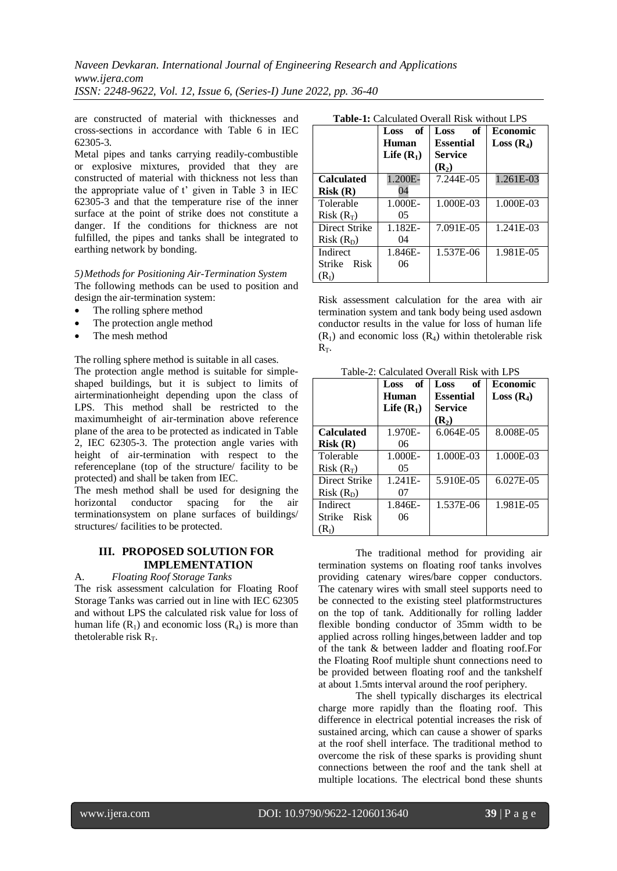are constructed of material with thicknesses and cross-sections in accordance with Table 6 in IEC 62305-3.

Metal pipes and tanks carrying readily-combustible or explosive mixtures, provided that they are constructed of material with thickness not less than the appropriate value of t' given in Table 3 in IEC 62305-3 and that the temperature rise of the inner surface at the point of strike does not constitute a danger. If the conditions for thickness are not fulfilled, the pipes and tanks shall be integrated to earthing network by bonding.

#### *5)Methods for Positioning Air-Termination System* The following methods can be used to position and design the air-termination system:

- The rolling sphere method
- The protection angle method
- The mesh method

The rolling sphere method is suitable in all cases.

The protection angle method is suitable for simpleshaped buildings, but it is subject to limits of airterminationheight depending upon the class of LPS. This method shall be restricted to the maximumheight of air-termination above reference plane of the area to be protected as indicated in Table 2, IEC 62305-3. The protection angle varies with height of air-termination with respect to the referenceplane (top of the structure/ facility to be protected) and shall be taken from IEC.

The mesh method shall be used for designing the horizontal conductor spacing for the air terminationsystem on plane surfaces of buildings/ structures/ facilities to be protected.

#### **III. PROPOSED SOLUTION FOR IMPLEMENTATION**

A. *Floating Roof Storage Tanks*

The risk assessment calculation for Floating Roof Storage Tanks was carried out in line with IEC 62305 and without LPS the calculated risk value for loss of human life  $(R_1)$  and economic loss  $(R_4)$  is more than thetolerable risk  $R_T$ .

|                   | of<br>Loss   | of<br>Loss       | <b>Economic</b> |
|-------------------|--------------|------------------|-----------------|
|                   | Human        | <b>Essential</b> | $Loss(R_4)$     |
|                   | Life $(R_1)$ | <b>Service</b>   |                 |
|                   |              | $(R_2)$          |                 |
| <b>Calculated</b> | 1.200E-      | 7.244E-05        | 1.261E-03       |
| Risk(R)           | 04           |                  |                 |
| Tolerable         | 1.000E-      | 1.000E-03        | 1.000E-03       |
| $Risk(R_T)$       | 05           |                  |                 |
| Direct Strike     | 1.182E-      | 7.091E-05        | 1.241E-03       |
| $Risk(R_D)$       | 04           |                  |                 |
| Indirect          | 1.846E-      | 1.537E-06        | 1.981E-05       |
| Risk<br>Strike    | 06           |                  |                 |
| $(R_I)$           |              |                  |                 |

**Table-1:** Calculated Overall Risk without LPS

Risk assessment calculation for the area with air termination system and tank body being used asdown conductor results in the value for loss of human life  $(R<sub>1</sub>)$  and economic loss  $(R<sub>4</sub>)$  within thetolerable risk  $R_T$ .

Table-2: Calculated Overall Risk with LPS

|                   | of<br>Loss   | of<br>Loss       | Economic       |
|-------------------|--------------|------------------|----------------|
|                   | Human        | <b>Essential</b> | $Loss(R_4)$    |
|                   | Life $(R_1)$ | Service          |                |
|                   |              | $(R_2)$          |                |
| <b>Calculated</b> | 1.970E-      | 6.064E-05        | 8.008E-05      |
| Risk(R)           | 06           |                  |                |
| Tolerable         | 1.000E-      | 1.000E-03        | 1.000E-03      |
| $Risk(R_T)$       | 05           |                  |                |
| Direct Strike     | $1.241E -$   | 5.910E-05        | $6.027E - 0.5$ |
| $Risk(R_D)$       | 07           |                  |                |
| Indirect          | 1.846E-      | 1.537E-06        | 1.981E-05      |
| Risk<br>Strike    | 06           |                  |                |
| (R1)              |              |                  |                |

The traditional method for providing air termination systems on floating roof tanks involves providing catenary wires/bare copper conductors. The catenary wires with small steel supports need to be connected to the existing steel platformstructures on the top of tank. Additionally for rolling ladder flexible bonding conductor of 35mm width to be applied across rolling hinges,between ladder and top of the tank & between ladder and floating roof.For the Floating Roof multiple shunt connections need to be provided between floating roof and the tankshelf at about 1.5mts interval around the roof periphery.

The shell typically discharges its electrical charge more rapidly than the floating roof. This difference in electrical potential increases the risk of sustained arcing, which can cause a shower of sparks at the roof shell interface. The traditional method to overcome the risk of these sparks is providing shunt connections between the roof and the tank shell at multiple locations. The electrical bond these shunts